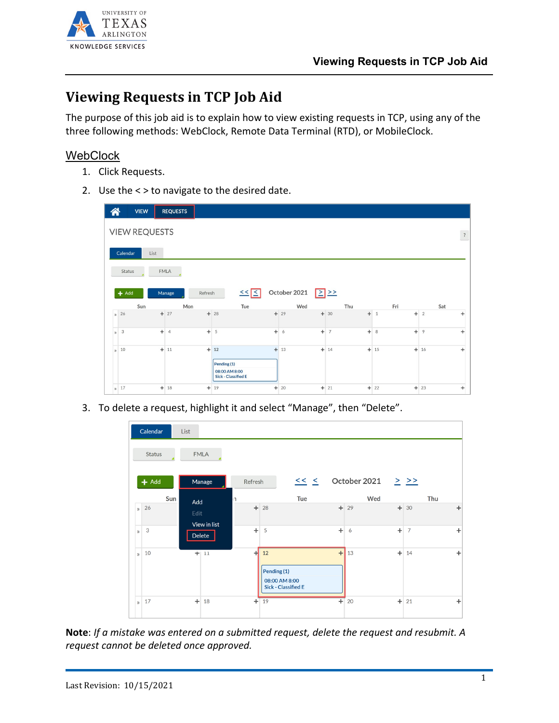

## **Viewing Requests in TCP Job Aid**

The purpose of this job aid is to explain how to view existing requests in TCP, using any of the three following methods: WebClock, Remote Data Terminal (RTD), or MobileClock.

## **WebClock**

- 1. Click Requests.
- 2. Use the < > to navigate to the desired date.



3. To delete a request, highlight it and select "Manage", then "Delete".

|              | Calendar      |     | List        |              |           |                   |                                             |           |              |           |                |     |    |
|--------------|---------------|-----|-------------|--------------|-----------|-------------------|---------------------------------------------|-----------|--------------|-----------|----------------|-----|----|
|              | <b>Status</b> |     | <b>FMLA</b> |              |           |                   |                                             |           |              |           |                |     |    |
|              | $+$ Add       |     |             | Manage       | Refresh   |                   | $<<$ $<$                                    |           | October 2021 |           | $>$ >>         |     |    |
|              |               | Sun |             |              | 'n        |                   | Tue                                         |           | Wed          |           |                | Thu |    |
| $\mathbf{v}$ | 26            |     | Add<br>Edit | View in list | $\ddot{}$ | 28                |                                             | $+$       | 29           |           | $+30$          |     | ÷  |
| $\mathbf{v}$ | 3             |     | Delete      |              | $\ddot{}$ | 5                 |                                             | $\ddot{}$ | 6            | $\ddot{}$ | $\overline{7}$ |     | ÷  |
| $\mathbf{v}$ | 10            |     |             | $+111$       | 귀         | 12<br>Pending (1) | 08:00 AM 8:00<br><b>Sick - Classified E</b> | $\ddot{}$ | 13           |           | $+14$          |     | ÷. |
| $\mathbf{v}$ | 17            |     | $+$         | 18           |           | $+19$             |                                             | $+$       | 20           |           | $+$ 21         |     | ÷  |

**Note**: *If a mistake was entered on a submitted request, delete the request and resubmit. A request cannot be deleted once approved.*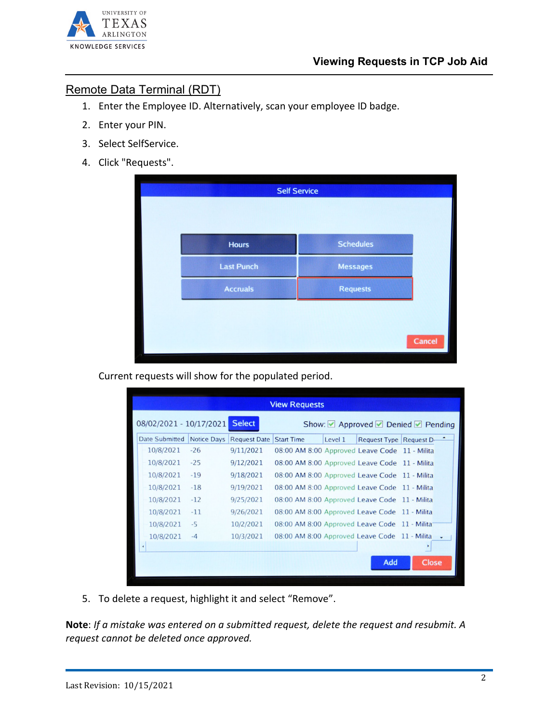

## Remote Data Terminal (RDT)

- 1. Enter the Employee ID. Alternatively, scan your employee ID badge.
- 2. Enter your PIN.
- 3. Select SelfService.
- 4. Click "Requests".

|                   | <b>Self Service</b> |
|-------------------|---------------------|
| <b>Hours</b>      | <b>Schedules</b>    |
| <b>Last Punch</b> | <b>Messages</b>     |
| <b>Accruals</b>   | <b>Requests</b>     |
|                   |                     |
|                   | Cancel              |

Current requests will show for the populated period.

| <b>View Requests</b>                                                      |                    |                     |                                               |         |                        |              |  |  |  |  |  |
|---------------------------------------------------------------------------|--------------------|---------------------|-----------------------------------------------|---------|------------------------|--------------|--|--|--|--|--|
| <b>Select</b><br>08/02/2021 - 10/17/2021<br>Show: Approved Denied Pending |                    |                     |                                               |         |                        |              |  |  |  |  |  |
| <b>Date Submitted</b>                                                     | <b>Notice Days</b> | <b>Request Date</b> | <b>Start Time</b>                             | Level 1 | Request Type Request D |              |  |  |  |  |  |
| 10/8/2021                                                                 | $-26$              | 9/11/2021           | 08:00 AM 8:00 Approved Leave Code 11 - Milita |         |                        |              |  |  |  |  |  |
| 10/8/2021                                                                 | $-25$              | 9/12/2021           | 08:00 AM 8:00 Approved Leave Code 11 - Milita |         |                        |              |  |  |  |  |  |
| 10/8/2021                                                                 | $-19$              | 9/18/2021           | 08:00 AM 8:00 Approved Leave Code 11 - Milita |         |                        |              |  |  |  |  |  |
| 10/8/2021                                                                 | $-18$              | 9/19/2021           | 08:00 AM 8:00 Approved Leave Code 11 - Milita |         |                        |              |  |  |  |  |  |
| 10/8/2021                                                                 | $-12$              | 9/25/2021           | 08:00 AM 8:00 Approved Leave Code 11 - Milita |         |                        |              |  |  |  |  |  |
| 10/8/2021                                                                 | $-11$              | 9/26/2021           | 08:00 AM 8:00 Approved Leave Code 11 - Milita |         |                        |              |  |  |  |  |  |
| 10/8/2021                                                                 | $-5$               | 10/2/2021           | 08:00 AM 8:00 Approved Leave Code 11 - Milita |         |                        |              |  |  |  |  |  |
| 10/8/2021                                                                 | $-4$               | 10/3/2021           | 08:00 AM 8:00 Approved Leave Code 11 - Milita |         |                        |              |  |  |  |  |  |
| $\ddot{\phantom{1}}$                                                      |                    |                     |                                               |         |                        |              |  |  |  |  |  |
|                                                                           |                    |                     |                                               |         | Add                    | <b>Close</b> |  |  |  |  |  |
|                                                                           |                    |                     |                                               |         |                        |              |  |  |  |  |  |
|                                                                           |                    |                     |                                               |         |                        |              |  |  |  |  |  |

5. To delete a request, highlight it and select "Remove".

**Note**: *If a mistake was entered on a submitted request, delete the request and resubmit. A request cannot be deleted once approved.*